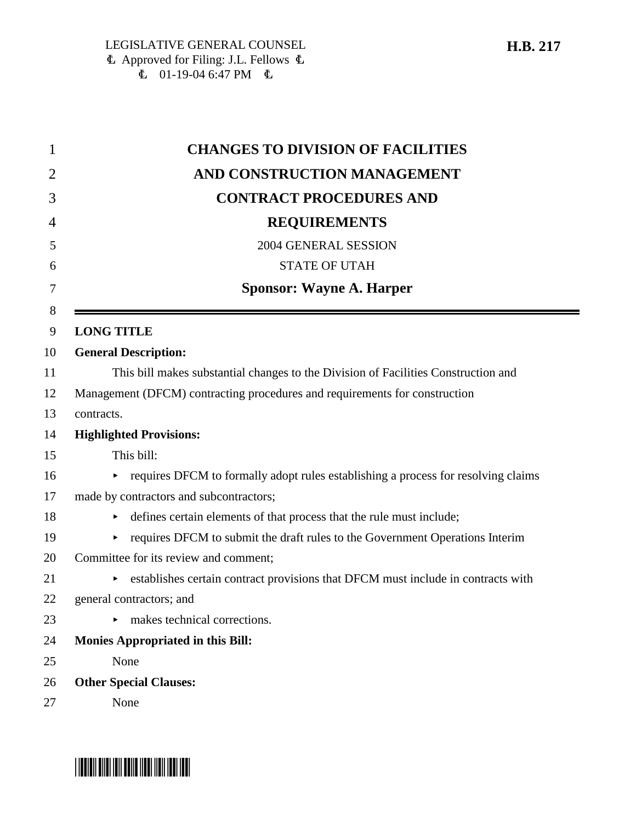| 1      | <b>CHANGES TO DIVISION OF FACILITIES</b>                                               |
|--------|----------------------------------------------------------------------------------------|
| 2      | AND CONSTRUCTION MANAGEMENT                                                            |
| 3      | <b>CONTRACT PROCEDURES AND</b>                                                         |
| 4      | <b>REQUIREMENTS</b>                                                                    |
| 5      | 2004 GENERAL SESSION                                                                   |
| 6      | <b>STATE OF UTAH</b>                                                                   |
| 7      | <b>Sponsor: Wayne A. Harper</b>                                                        |
| 8<br>9 | <b>LONG TITLE</b>                                                                      |
| 10     | <b>General Description:</b>                                                            |
| 11     | This bill makes substantial changes to the Division of Facilities Construction and     |
| 12     | Management (DFCM) contracting procedures and requirements for construction             |
| 13     | contracts.                                                                             |
| 14     | <b>Highlighted Provisions:</b>                                                         |
| 15     | This bill:                                                                             |
| 16     | requires DFCM to formally adopt rules establishing a process for resolving claims<br>► |
| 17     | made by contractors and subcontractors;                                                |
| 18     | defines certain elements of that process that the rule must include;                   |
| 19     | requires DFCM to submit the draft rules to the Government Operations Interim<br>▶      |
| 20     | Committee for its review and comment;                                                  |
| 21     | establishes certain contract provisions that DFCM must include in contracts with       |
| 22     | general contractors; and                                                               |
| 23     | $\triangleright$ makes technical corrections.                                          |
| 24     | <b>Monies Appropriated in this Bill:</b>                                               |
| 25     | None                                                                                   |
| 26     | <b>Other Special Clauses:</b>                                                          |
| 27     | None                                                                                   |

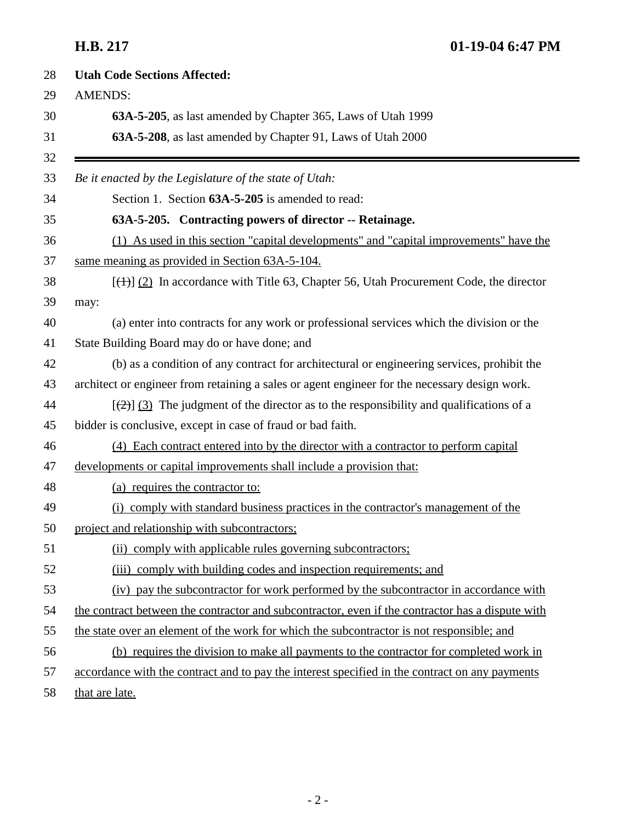**H.B. 217 01-19-04 6:47 PM**

| 28 | <b>Utah Code Sections Affected:</b>                                                               |
|----|---------------------------------------------------------------------------------------------------|
| 29 | <b>AMENDS:</b>                                                                                    |
| 30 | 63A-5-205, as last amended by Chapter 365, Laws of Utah 1999                                      |
| 31 | 63A-5-208, as last amended by Chapter 91, Laws of Utah 2000                                       |
| 32 |                                                                                                   |
| 33 | Be it enacted by the Legislature of the state of Utah:                                            |
| 34 | Section 1. Section 63A-5-205 is amended to read:                                                  |
| 35 | 63A-5-205. Contracting powers of director -- Retainage.                                           |
| 36 | (1) As used in this section "capital developments" and "capital improvements" have the            |
| 37 | same meaning as provided in Section 63A-5-104.                                                    |
| 38 | $[\frac{(+)}{2}]$ In accordance with Title 63, Chapter 56, Utah Procurement Code, the director    |
| 39 | may:                                                                                              |
| 40 | (a) enter into contracts for any work or professional services which the division or the          |
| 41 | State Building Board may do or have done; and                                                     |
| 42 | (b) as a condition of any contract for architectural or engineering services, prohibit the        |
| 43 | architect or engineer from retaining a sales or agent engineer for the necessary design work.     |
| 44 | $[\frac{1}{2}]$ (3) The judgment of the director as to the responsibility and qualifications of a |
| 45 | bidder is conclusive, except in case of fraud or bad faith.                                       |
| 46 | (4) Each contract entered into by the director with a contractor to perform capital               |
| 47 | developments or capital improvements shall include a provision that:                              |
| 48 | (a) requires the contractor to:                                                                   |
| 49 | (i) comply with standard business practices in the contractor's management of the                 |
| 50 | project and relationship with subcontractors;                                                     |
| 51 | (ii) comply with applicable rules governing subcontractors;                                       |
| 52 | (iii) comply with building codes and inspection requirements; and                                 |
| 53 | (iv) pay the subcontractor for work performed by the subcontractor in accordance with             |
| 54 | the contract between the contractor and subcontractor, even if the contractor has a dispute with  |
| 55 | the state over an element of the work for which the subcontractor is not responsible; and         |
| 56 | (b) requires the division to make all payments to the contractor for completed work in            |
| 57 | accordance with the contract and to pay the interest specified in the contract on any payments    |
| 58 | that are late.                                                                                    |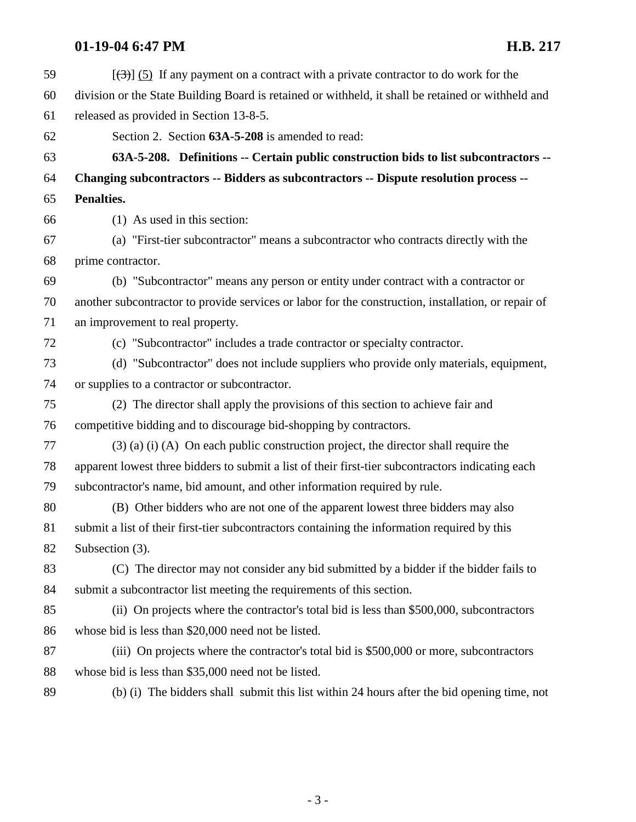# **01-19-04 6:47 PM H.B. 217**

| 59 | $[\left(\frac{1}{2}\right)]$ (5) If any payment on a contract with a private contractor to do work for the |
|----|------------------------------------------------------------------------------------------------------------|
| 60 | division or the State Building Board is retained or withheld, it shall be retained or withheld and         |
| 61 | released as provided in Section 13-8-5.                                                                    |
| 62 | Section 2. Section 63A-5-208 is amended to read:                                                           |
| 63 | 63A-5-208. Definitions -- Certain public construction bids to list subcontractors --                       |
| 64 | Changing subcontractors -- Bidders as subcontractors -- Dispute resolution process --                      |
| 65 | Penalties.                                                                                                 |
| 66 | (1) As used in this section:                                                                               |
| 67 | (a) "First-tier subcontractor" means a subcontractor who contracts directly with the                       |
| 68 | prime contractor.                                                                                          |
| 69 | (b) "Subcontractor" means any person or entity under contract with a contractor or                         |
| 70 | another subcontractor to provide services or labor for the construction, installation, or repair of        |
| 71 | an improvement to real property.                                                                           |
| 72 | (c) "Subcontractor" includes a trade contractor or specialty contractor.                                   |
| 73 | (d) "Subcontractor" does not include suppliers who provide only materials, equipment,                      |
| 74 | or supplies to a contractor or subcontractor.                                                              |
| 75 | (2) The director shall apply the provisions of this section to achieve fair and                            |
| 76 | competitive bidding and to discourage bid-shopping by contractors.                                         |
| 77 | $(3)$ (a) (i) (A) On each public construction project, the director shall require the                      |
| 78 | apparent lowest three bidders to submit a list of their first-tier subcontractors indicating each          |
| 79 | subcontractor's name, bid amount, and other information required by rule.                                  |
| 80 | (B) Other bidders who are not one of the apparent lowest three bidders may also                            |
| 81 | submit a list of their first-tier subcontractors containing the information required by this               |
| 82 | Subsection (3).                                                                                            |
| 83 | (C) The director may not consider any bid submitted by a bidder if the bidder fails to                     |
| 84 | submit a subcontractor list meeting the requirements of this section.                                      |
| 85 | (ii) On projects where the contractor's total bid is less than \$500,000, subcontractors                   |
| 86 | whose bid is less than \$20,000 need not be listed.                                                        |
| 87 | (iii) On projects where the contractor's total bid is \$500,000 or more, subcontractors                    |
| 88 | whose bid is less than \$35,000 need not be listed.                                                        |
| 89 | (b) (i) The bidders shall submit this list within 24 hours after the bid opening time, not                 |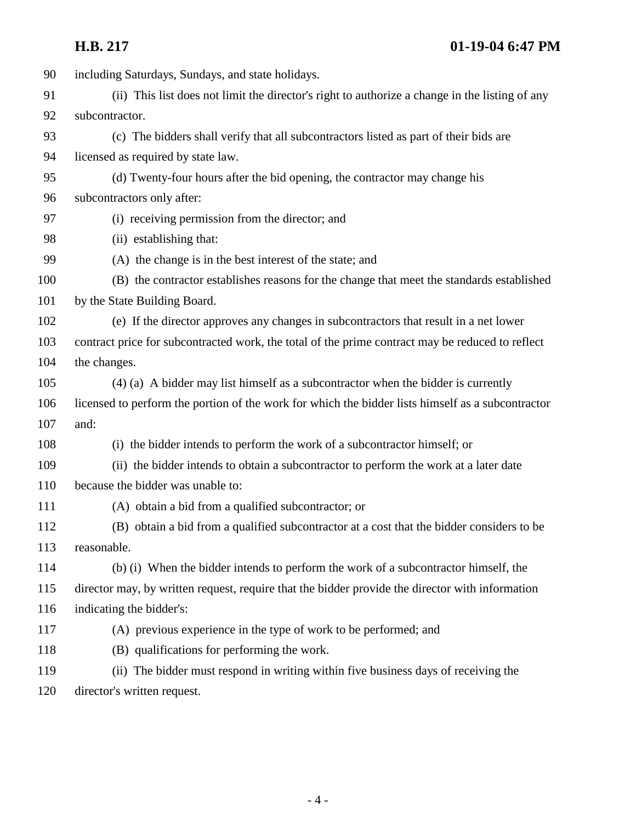# **H.B. 217 01-19-04 6:47 PM**

| 90  | including Saturdays, Sundays, and state holidays.                                                 |
|-----|---------------------------------------------------------------------------------------------------|
| 91  | (ii) This list does not limit the director's right to authorize a change in the listing of any    |
| 92  | subcontractor.                                                                                    |
| 93  | (c) The bidders shall verify that all subcontractors listed as part of their bids are             |
| 94  | licensed as required by state law.                                                                |
| 95  | (d) Twenty-four hours after the bid opening, the contractor may change his                        |
| 96  | subcontractors only after:                                                                        |
| 97  | (i) receiving permission from the director; and                                                   |
| 98  | (ii) establishing that:                                                                           |
| 99  | (A) the change is in the best interest of the state; and                                          |
| 100 | (B) the contractor establishes reasons for the change that meet the standards established         |
| 101 | by the State Building Board.                                                                      |
| 102 | (e) If the director approves any changes in subcontractors that result in a net lower             |
| 103 | contract price for subcontracted work, the total of the prime contract may be reduced to reflect  |
| 104 | the changes.                                                                                      |
| 105 | $(4)$ (a) A bidder may list himself as a subcontractor when the bidder is currently               |
| 106 | licensed to perform the portion of the work for which the bidder lists himself as a subcontractor |
| 107 | and:                                                                                              |
| 108 | (i) the bidder intends to perform the work of a subcontractor himself; or                         |
| 109 | (ii) the bidder intends to obtain a subcontractor to perform the work at a later date             |
| 110 | because the bidder was unable to:                                                                 |
| 111 | (A) obtain a bid from a qualified subcontractor; or                                               |
| 112 | (B) obtain a bid from a qualified subcontractor at a cost that the bidder considers to be         |
| 113 | reasonable.                                                                                       |
| 114 | (b) (i) When the bidder intends to perform the work of a subcontractor himself, the               |
| 115 | director may, by written request, require that the bidder provide the director with information   |
| 116 | indicating the bidder's:                                                                          |
| 117 | (A) previous experience in the type of work to be performed; and                                  |
| 118 | (B) qualifications for performing the work.                                                       |
| 119 | (ii) The bidder must respond in writing within five business days of receiving the                |
| 120 | director's written request.                                                                       |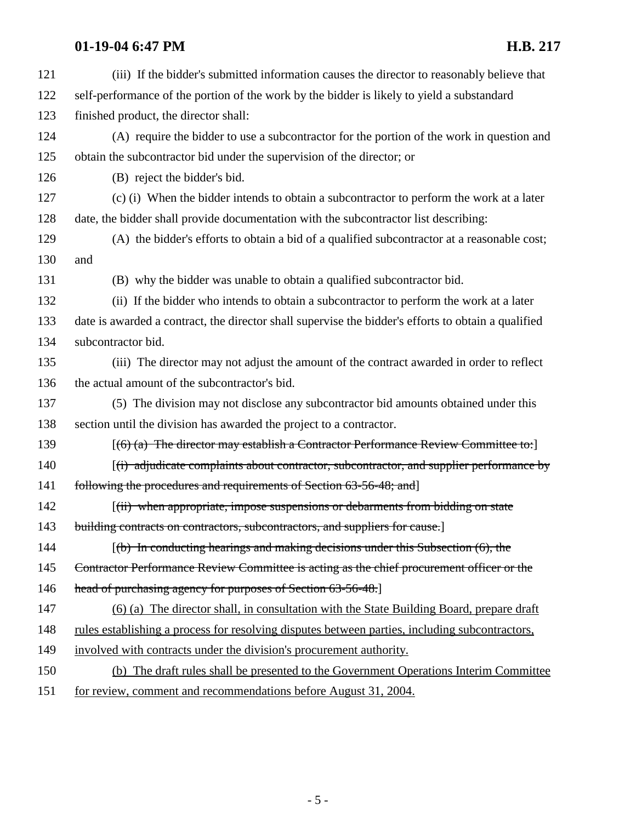# **01-19-04 6:47 PM H.B. 217**

| 121 | (iii) If the bidder's submitted information causes the director to reasonably believe that          |
|-----|-----------------------------------------------------------------------------------------------------|
| 122 | self-performance of the portion of the work by the bidder is likely to yield a substandard          |
| 123 | finished product, the director shall:                                                               |
| 124 | (A) require the bidder to use a subcontractor for the portion of the work in question and           |
| 125 | obtain the subcontractor bid under the supervision of the director; or                              |
| 126 | (B) reject the bidder's bid.                                                                        |
| 127 | (c) (i) When the bidder intends to obtain a subcontractor to perform the work at a later            |
| 128 | date, the bidder shall provide documentation with the subcontractor list describing:                |
| 129 | (A) the bidder's efforts to obtain a bid of a qualified subcontractor at a reasonable cost;         |
| 130 | and                                                                                                 |
| 131 | (B) why the bidder was unable to obtain a qualified subcontractor bid.                              |
| 132 | (ii) If the bidder who intends to obtain a subcontractor to perform the work at a later             |
| 133 | date is awarded a contract, the director shall supervise the bidder's efforts to obtain a qualified |
| 134 | subcontractor bid.                                                                                  |
| 135 | (iii) The director may not adjust the amount of the contract awarded in order to reflect            |
| 136 | the actual amount of the subcontractor's bid.                                                       |
| 137 | (5) The division may not disclose any subcontractor bid amounts obtained under this                 |
| 138 | section until the division has awarded the project to a contractor.                                 |
| 139 | $[(6)$ (a) The director may establish a Contractor Performance Review Committee to:                 |
| 140 | $(i)$ adjudicate complaints about contractor, subcontractor, and supplier performance by            |
| 141 | following the procedures and requirements of Section 63-56-48; and]                                 |
| 142 | $(iii)$ when appropriate, impose suspensions or debarments from bidding on state                    |
| 143 | building contracts on contractors, subcontractors, and suppliers for cause.]                        |
| 144 | $[$ (b) In conducting hearings and making decisions under this Subsection $(6)$ , the               |
| 145 | Contractor Performance Review Committee is acting as the chief procurement officer or the           |
| 146 | head of purchasing agency for purposes of Section 63-56-48.]                                        |
| 147 | (6) (a) The director shall, in consultation with the State Building Board, prepare draft            |
| 148 | rules establishing a process for resolving disputes between parties, including subcontractors,      |
| 149 | involved with contracts under the division's procurement authority.                                 |
| 150 | (b) The draft rules shall be presented to the Government Operations Interim Committee               |
| 151 | for review, comment and recommendations before August 31, 2004.                                     |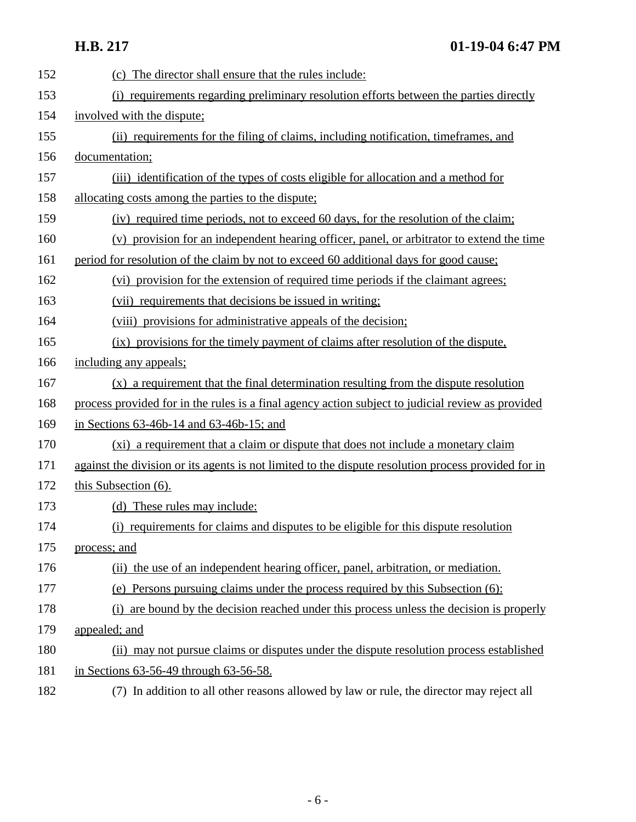| 152 | (c) The director shall ensure that the rules include:                                               |
|-----|-----------------------------------------------------------------------------------------------------|
| 153 | (i) requirements regarding preliminary resolution efforts between the parties directly              |
| 154 | involved with the dispute;                                                                          |
| 155 | (ii) requirements for the filing of claims, including notification, timeframes, and                 |
| 156 | documentation;                                                                                      |
| 157 | (iii) identification of the types of costs eligible for allocation and a method for                 |
| 158 | allocating costs among the parties to the dispute;                                                  |
| 159 | (iv) required time periods, not to exceed 60 days, for the resolution of the claim;                 |
| 160 | (v) provision for an independent hearing officer, panel, or arbitrator to extend the time           |
| 161 | period for resolution of the claim by not to exceed 60 additional days for good cause;              |
| 162 | (vi) provision for the extension of required time periods if the claimant agrees;                   |
| 163 | (vii) requirements that decisions be issued in writing;                                             |
| 164 | (viii) provisions for administrative appeals of the decision;                                       |
| 165 | (ix) provisions for the timely payment of claims after resolution of the dispute.                   |
| 166 | including any appeals;                                                                              |
| 167 | (x) a requirement that the final determination resulting from the dispute resolution                |
| 168 | process provided for in the rules is a final agency action subject to judicial review as provided   |
| 169 | in Sections $63-46b-14$ and $63-46b-15$ ; and                                                       |
| 170 | (xi) a requirement that a claim or dispute that does not include a monetary claim                   |
| 171 | against the division or its agents is not limited to the dispute resolution process provided for in |
| 172 | this Subsection (6).                                                                                |
| 173 | (d) These rules may include:                                                                        |
| 174 | (i) requirements for claims and disputes to be eligible for this dispute resolution                 |
| 175 | process; and                                                                                        |
| 176 | (ii) the use of an independent hearing officer, panel, arbitration, or mediation.                   |
| 177 | (e) Persons pursuing claims under the process required by this Subsection (6):                      |
| 178 | (i) are bound by the decision reached under this process unless the decision is properly            |
| 179 | appealed; and                                                                                       |
| 180 | (ii) may not pursue claims or disputes under the dispute resolution process established             |
| 181 | in Sections 63-56-49 through 63-56-58.                                                              |
| 182 | (7) In addition to all other reasons allowed by law or rule, the director may reject all            |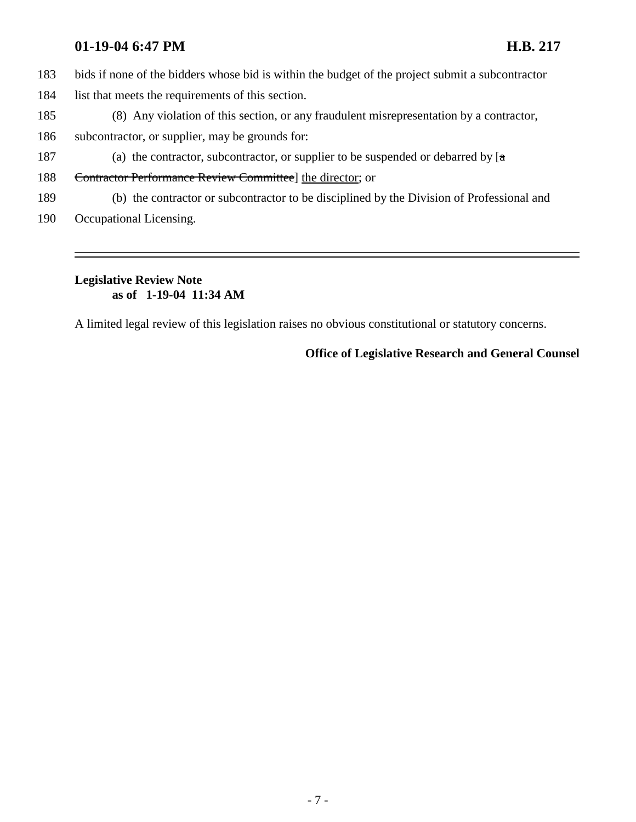### **01-19-04 6:47 PM H.B. 217**

- 183 bids if none of the bidders whose bid is within the budget of the project submit a subcontractor
- 184 list that meets the requirements of this section.
- 185 (8) Any violation of this section, or any fraudulent misrepresentation by a contractor,
- 186 subcontractor, or supplier, may be grounds for:
- 187 (a) the contractor, subcontractor, or supplier to be suspended or debarred by  $[a]$
- 188 Contractor Performance Review Committee] the director; or
- 189 (b) the contractor or subcontractor to be disciplined by the Division of Professional and
- 190 Occupational Licensing.

## **Legislative Review Note as of 1-19-04 11:34 AM**

A limited legal review of this legislation raises no obvious constitutional or statutory concerns.

## **Office of Legislative Research and General Counsel**